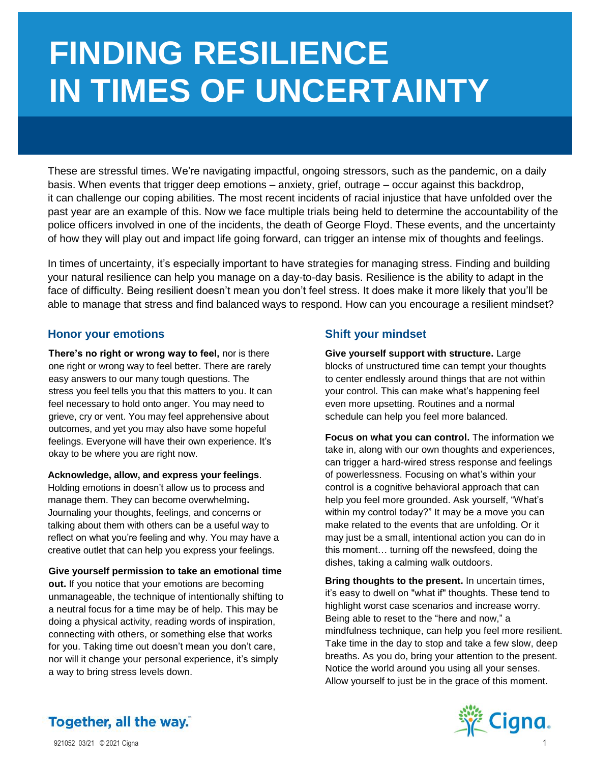# **FINDING RESILIENCE IN TIMES OF UNCERTAINTY**

These are stressful times. We're navigating impactful, ongoing stressors, such as the pandemic, on a daily basis. When events that trigger deep emotions – anxiety, grief, outrage – occur against this backdrop, it can challenge our coping abilities. The most recent incidents of racial injustice that have unfolded over the past year are an example of this. Now we face multiple trials being held to determine the accountability of the police officers involved in one of the incidents, the death of George Floyd. These events, and the uncertainty of how they will play out and impact life going forward, can trigger an intense mix of thoughts and feelings.

In times of uncertainty, it's especially important to have strategies for managing stress. Finding and building your natural resilience can help you manage on a day-to-day basis. Resilience is the ability to adapt in the face of difficulty. Being resilient doesn't mean you don't feel stress. It does make it more likely that you'll be able to manage that stress and find balanced ways to respond. How can you encourage a resilient mindset?

# **Honor your emotions Shift your mindset**

**There's no right or wrong way to feel,** nor is there one right or wrong way to feel better. There are rarely easy answers to our many tough questions. The stress you feel tells you that this matters to you. It can feel necessary to hold onto anger. You may need to grieve, cry or vent. You may feel apprehensive about outcomes, and yet you may also have some hopeful feelings. Everyone will have their own experience. It's okay to be where you are right now.

**Acknowledge, allow, and express your feelings**.

Holding emotions in doesn't allow us to process and manage them. They can become overwhelming**.**  Journaling your thoughts, feelings, and concerns or talking about them with others can be a useful way to reflect on what you're feeling and why. You may have a creative outlet that can help you express your feelings.

**Give yourself permission to take an emotional time** 

**out.** If you notice that your emotions are becoming unmanageable, the technique of intentionally shifting to a neutral focus for a time may be of help. This may be doing a physical activity, reading words of inspiration, connecting with others, or something else that works for you. Taking time out doesn't mean you don't care, nor will it change your personal experience, it's simply a way to bring stress levels down.

**Give yourself support with structure.** Large blocks of unstructured time can tempt your thoughts to center endlessly around things that are not within your control. This can make what's happening feel even more upsetting. Routines and a normal schedule can help you feel more balanced.

**Focus on what you can control.** The information we take in, along with our own thoughts and experiences, can trigger a hard-wired stress response and feelings of powerlessness. Focusing on what's within your control is a cognitive behavioral approach that can help you feel more grounded. Ask yourself, "What's within my control today?" It may be a move you can make related to the events that are unfolding. Or it may just be a small, intentional action you can do in this moment… turning off the newsfeed, doing the dishes, taking a calming walk outdoors.

**Bring thoughts to the present.** In uncertain times, it's easy to dwell on "what if" thoughts. These tend to highlight worst case scenarios and increase worry. Being able to reset to the "here and now," a mindfulness technique, can help you feel more resilient. Take time in the day to stop and take a few slow, deep breaths. As you do, bring your attention to the present. Notice the world around you using all your senses. Allow yourself to just be in the grace of this moment.



Together, all the way.